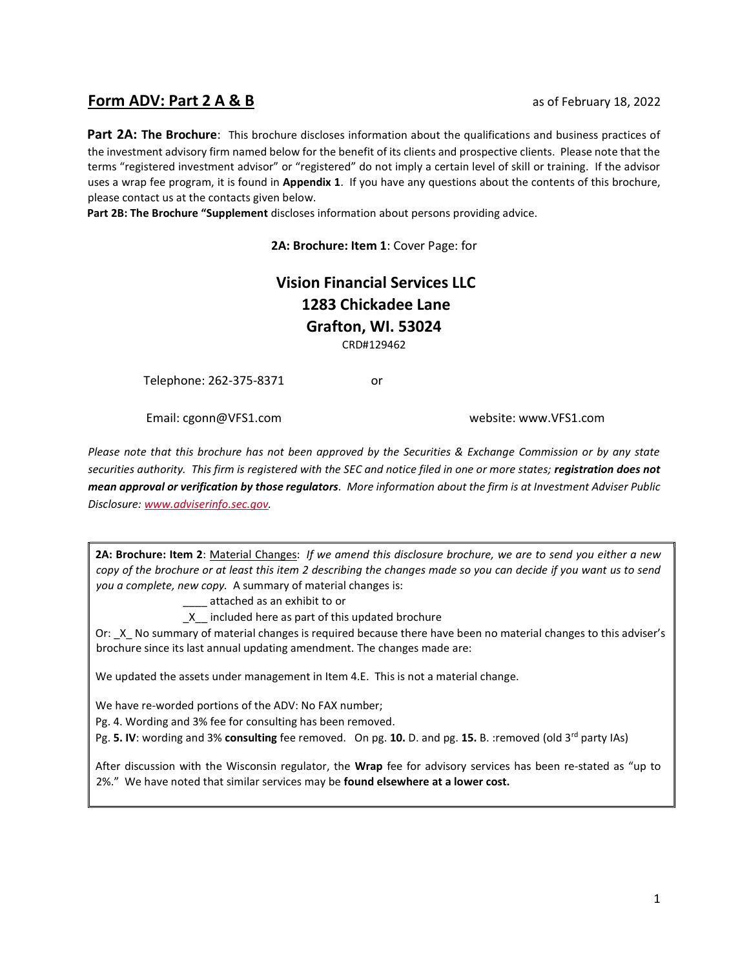# **Form ADV: Part 2 A & B** as of February 18, 2022

Part 2A: The Brochure: This brochure discloses information about the qualifications and business practices of the investment advisory firm named below for the benefit of its clients and prospective clients. Please note that the terms "registered investment advisor" or "registered" do not imply a certain level of skill or training. If the advisor uses a wrap fee program, it is found in Appendix 1. If you have any questions about the contents of this brochure, please contact us at the contacts given below.

Part 2B: The Brochure "Supplement discloses information about persons providing advice.

2A: Brochure: Item 1: Cover Page: for

# Vision Financial Services LLC 1283 Chickadee Lane Grafton, WI. 53024

CRD#129462

Telephone: 262-375-8371 or

Email: cgonn@VFS1.com website: www.VFS1.com

Please note that this brochure has not been approved by the Securities & Exchange Commission or by any state securities authority. This firm is registered with the SEC and notice filed in one or more states; registration does not mean approval or verification by those regulators. More information about the firm is at Investment Adviser Public Disclosure: www.adviserinfo.sec.gov.

2A: Brochure: Item 2: Material Changes: If we amend this disclosure brochure, we are to send you either a new copy of the brochure or at least this item 2 describing the changes made so you can decide if you want us to send you a complete, new copy. A summary of material changes is:

\_\_\_\_ attached as an exhibit to or

\_X\_\_ included here as part of this updated brochure

Or: X No summary of material changes is required because there have been no material changes to this adviser's brochure since its last annual updating amendment. The changes made are:

We updated the assets under management in Item 4.E. This is not a material change.

We have re-worded portions of the ADV: No FAX number;

Pg. 4. Wording and 3% fee for consulting has been removed.

Pg. 5. IV: wording and 3% consulting fee removed. On pg. 10. D. and pg. 15. B. : removed (old 3<sup>rd</sup> party IAs)

After discussion with the Wisconsin regulator, the Wrap fee for advisory services has been re-stated as "up to 2%." We have noted that similar services may be found elsewhere at a lower cost.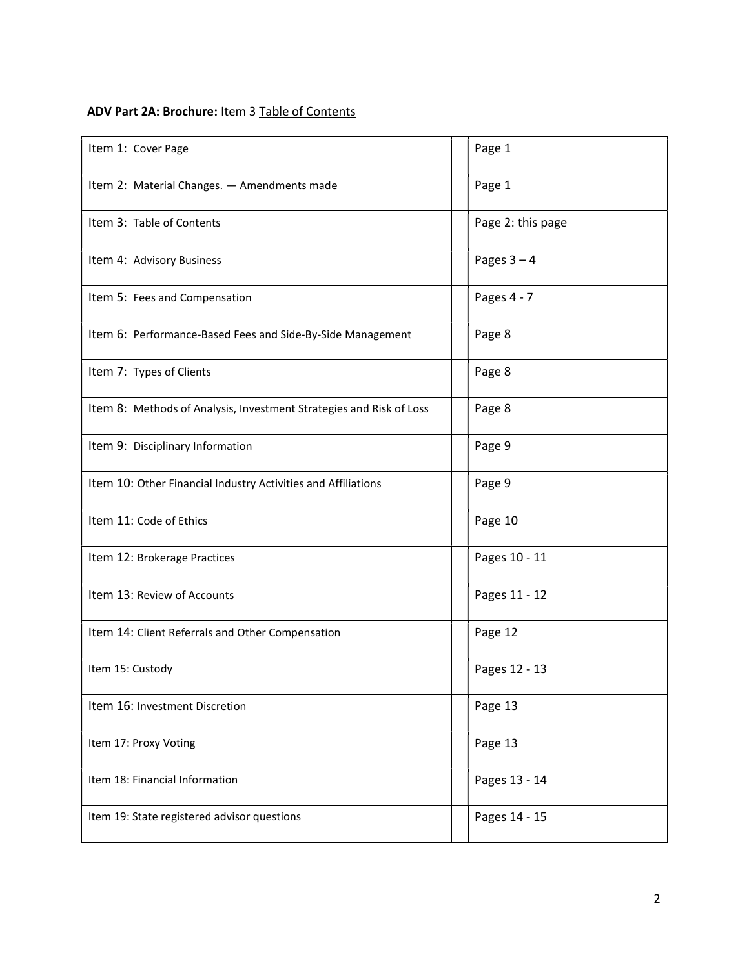# ADV Part 2A: Brochure: Item 3 Table of Contents

| Item 1: Cover Page                                                  | Page 1            |
|---------------------------------------------------------------------|-------------------|
| Item 2: Material Changes. - Amendments made                         | Page 1            |
| Item 3: Table of Contents                                           | Page 2: this page |
| Item 4: Advisory Business                                           | Pages $3 - 4$     |
| Item 5: Fees and Compensation                                       | Pages 4 - 7       |
| Item 6: Performance-Based Fees and Side-By-Side Management          | Page 8            |
| Item 7: Types of Clients                                            | Page 8            |
| Item 8: Methods of Analysis, Investment Strategies and Risk of Loss | Page 8            |
| Item 9: Disciplinary Information                                    | Page 9            |
| Item 10: Other Financial Industry Activities and Affiliations       | Page 9            |
| Item 11: Code of Ethics                                             | Page 10           |
| Item 12: Brokerage Practices                                        | Pages 10 - 11     |
| Item 13: Review of Accounts                                         | Pages 11 - 12     |
| Item 14: Client Referrals and Other Compensation                    | Page 12           |
| Item 15: Custody                                                    | Pages 12 - 13     |
| Item 16: Investment Discretion                                      | Page 13           |
| Item 17: Proxy Voting                                               | Page 13           |
| Item 18: Financial Information                                      | Pages 13 - 14     |
| Item 19: State registered advisor questions                         | Pages 14 - 15     |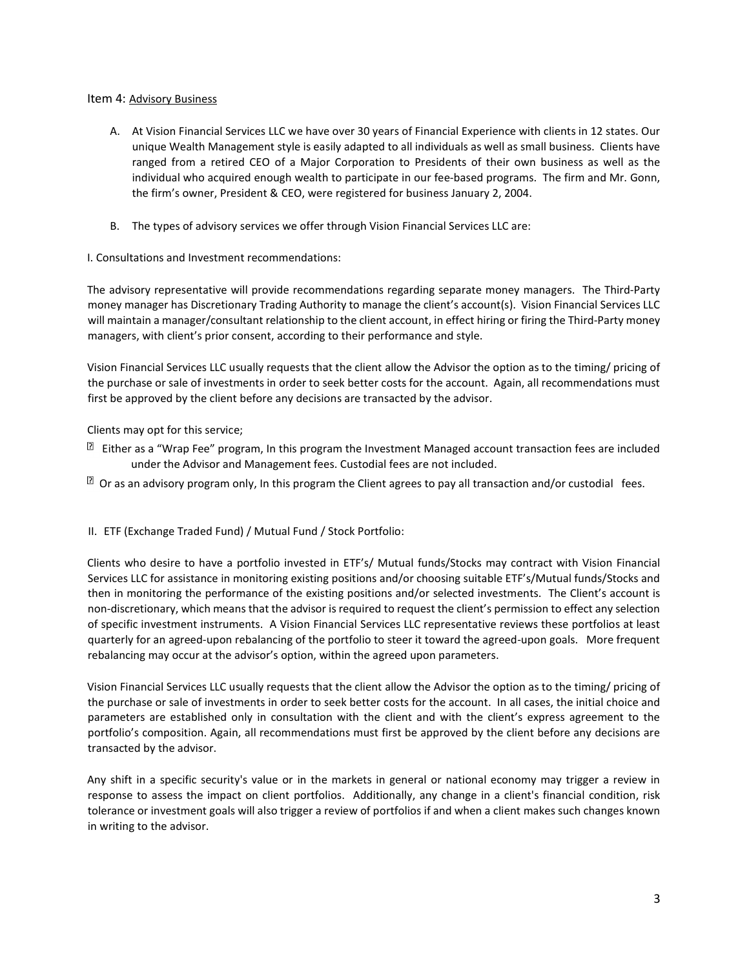# Item 4: Advisory Business

- A. At Vision Financial Services LLC we have over 30 years of Financial Experience with clients in 12 states. Our unique Wealth Management style is easily adapted to all individuals as well as small business. Clients have ranged from a retired CEO of a Major Corporation to Presidents of their own business as well as the individual who acquired enough wealth to participate in our fee-based programs. The firm and Mr. Gonn, the firm's owner, President & CEO, were registered for business January 2, 2004.
- B. The types of advisory services we offer through Vision Financial Services LLC are:
- I. Consultations and Investment recommendations:

The advisory representative will provide recommendations regarding separate money managers. The Third-Party money manager has Discretionary Trading Authority to manage the client's account(s). Vision Financial Services LLC will maintain a manager/consultant relationship to the client account, in effect hiring or firing the Third-Party money managers, with client's prior consent, according to their performance and style.

Vision Financial Services LLC usually requests that the client allow the Advisor the option as to the timing/ pricing of the purchase or sale of investments in order to seek better costs for the account. Again, all recommendations must first be approved by the client before any decisions are transacted by the advisor.

Clients may opt for this service;

- $\mathbb{\overline{B}}$  Either as a "Wrap Fee" program, In this program the Investment Managed account transaction fees are included under the Advisor and Management fees. Custodial fees are not included.
- $\mathbb B$  Or as an advisory program only, In this program the Client agrees to pay all transaction and/or custodial fees.

# II. ETF (Exchange Traded Fund) / Mutual Fund / Stock Portfolio:

Clients who desire to have a portfolio invested in ETF's/ Mutual funds/Stocks may contract with Vision Financial Services LLC for assistance in monitoring existing positions and/or choosing suitable ETF's/Mutual funds/Stocks and then in monitoring the performance of the existing positions and/or selected investments. The Client's account is non-discretionary, which means that the advisor is required to request the client's permission to effect any selection of specific investment instruments. A Vision Financial Services LLC representative reviews these portfolios at least quarterly for an agreed-upon rebalancing of the portfolio to steer it toward the agreed-upon goals. More frequent rebalancing may occur at the advisor's option, within the agreed upon parameters.

Vision Financial Services LLC usually requests that the client allow the Advisor the option as to the timing/ pricing of the purchase or sale of investments in order to seek better costs for the account. In all cases, the initial choice and parameters are established only in consultation with the client and with the client's express agreement to the portfolio's composition. Again, all recommendations must first be approved by the client before any decisions are transacted by the advisor.

Any shift in a specific security's value or in the markets in general or national economy may trigger a review in response to assess the impact on client portfolios. Additionally, any change in a client's financial condition, risk tolerance or investment goals will also trigger a review of portfolios if and when a client makes such changes known in writing to the advisor.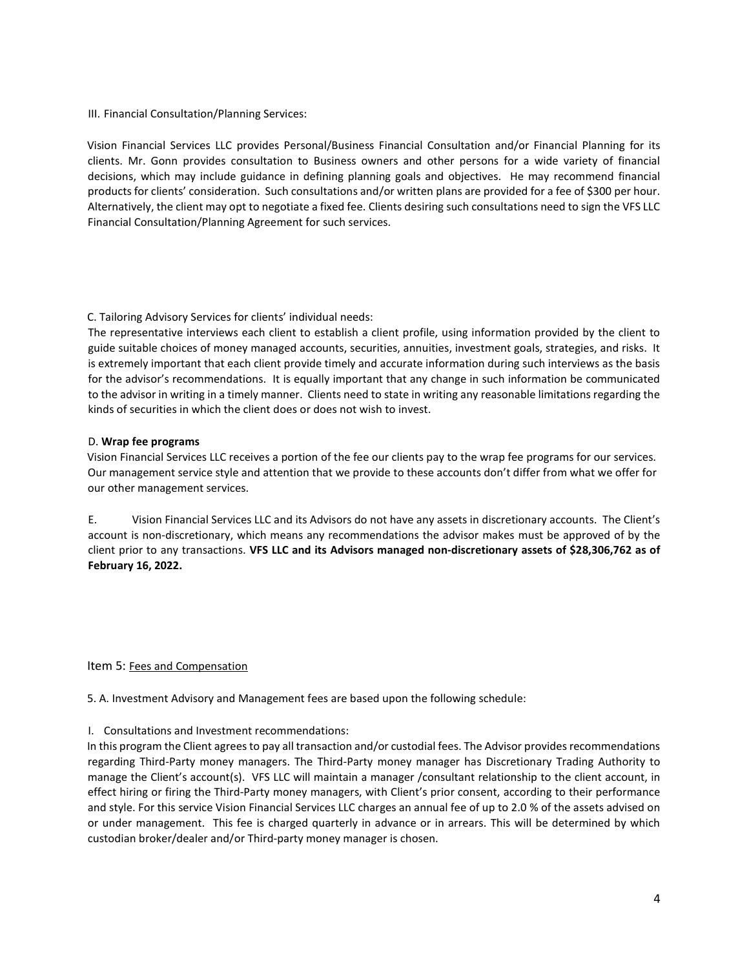# III. Financial Consultation/Planning Services:

Vision Financial Services LLC provides Personal/Business Financial Consultation and/or Financial Planning for its clients. Mr. Gonn provides consultation to Business owners and other persons for a wide variety of financial decisions, which may include guidance in defining planning goals and objectives. He may recommend financial products for clients' consideration. Such consultations and/or written plans are provided for a fee of \$300 per hour. Alternatively, the client may opt to negotiate a fixed fee. Clients desiring such consultations need to sign the VFS LLC Financial Consultation/Planning Agreement for such services.

# C. Tailoring Advisory Services for clients' individual needs:

The representative interviews each client to establish a client profile, using information provided by the client to guide suitable choices of money managed accounts, securities, annuities, investment goals, strategies, and risks. It is extremely important that each client provide timely and accurate information during such interviews as the basis for the advisor's recommendations. It is equally important that any change in such information be communicated to the advisor in writing in a timely manner. Clients need to state in writing any reasonable limitations regarding the kinds of securities in which the client does or does not wish to invest.

## D. Wrap fee programs

Vision Financial Services LLC receives a portion of the fee our clients pay to the wrap fee programs for our services. Our management service style and attention that we provide to these accounts don't differ from what we offer for our other management services.

E. Vision Financial Services LLC and its Advisors do not have any assets in discretionary accounts. The Client's account is non-discretionary, which means any recommendations the advisor makes must be approved of by the client prior to any transactions. VFS LLC and its Advisors managed non-discretionary assets of \$28,306,762 as of February 16, 2022.

# Item 5: Fees and Compensation

5. A. Investment Advisory and Management fees are based upon the following schedule:

# I. Consultations and Investment recommendations:

In this program the Client agrees to pay all transaction and/or custodial fees. The Advisor provides recommendations regarding Third-Party money managers. The Third-Party money manager has Discretionary Trading Authority to manage the Client's account(s). VFS LLC will maintain a manager /consultant relationship to the client account, in effect hiring or firing the Third-Party money managers, with Client's prior consent, according to their performance and style. For this service Vision Financial Services LLC charges an annual fee of up to 2.0 % of the assets advised on or under management. This fee is charged quarterly in advance or in arrears. This will be determined by which custodian broker/dealer and/or Third-party money manager is chosen.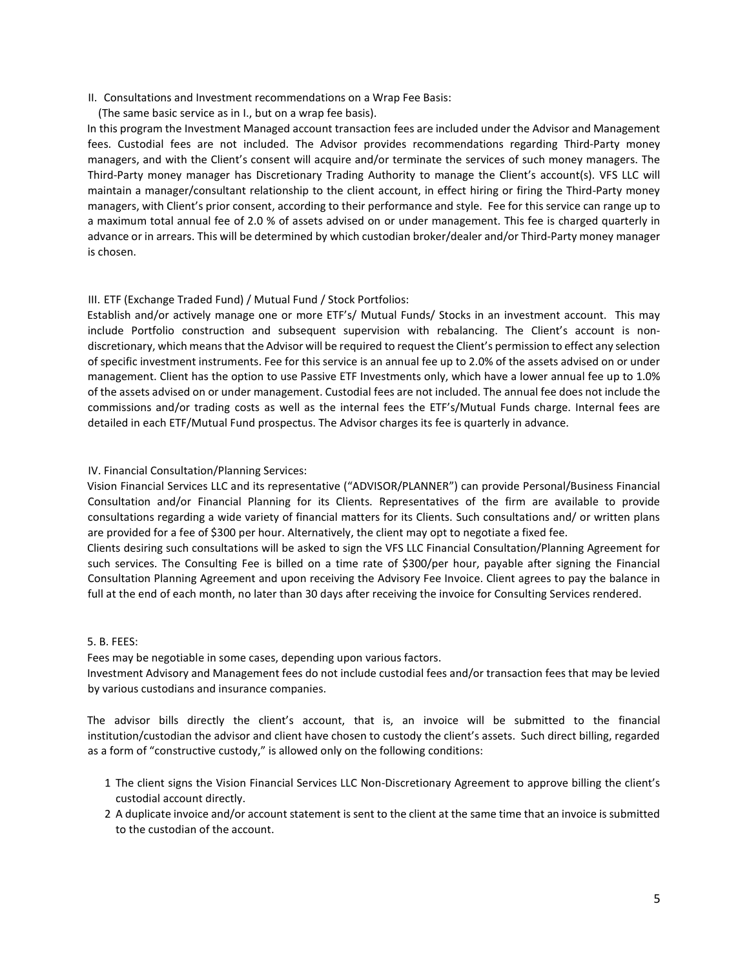- II. Consultations and Investment recommendations on a Wrap Fee Basis:
- (The same basic service as in I., but on a wrap fee basis).

In this program the Investment Managed account transaction fees are included under the Advisor and Management fees. Custodial fees are not included. The Advisor provides recommendations regarding Third-Party money managers, and with the Client's consent will acquire and/or terminate the services of such money managers. The Third-Party money manager has Discretionary Trading Authority to manage the Client's account(s). VFS LLC will maintain a manager/consultant relationship to the client account, in effect hiring or firing the Third-Party money managers, with Client's prior consent, according to their performance and style. Fee for this service can range up to a maximum total annual fee of 2.0 % of assets advised on or under management. This fee is charged quarterly in advance or in arrears. This will be determined by which custodian broker/dealer and/or Third-Party money manager is chosen.

# III. ETF (Exchange Traded Fund) / Mutual Fund / Stock Portfolios:

Establish and/or actively manage one or more ETF's/ Mutual Funds/ Stocks in an investment account. This may include Portfolio construction and subsequent supervision with rebalancing. The Client's account is nondiscretionary, which means that the Advisor will be required to request the Client's permission to effect any selection of specific investment instruments. Fee for this service is an annual fee up to 2.0% of the assets advised on or under management. Client has the option to use Passive ETF Investments only, which have a lower annual fee up to 1.0% of the assets advised on or under management. Custodial fees are not included. The annual fee does not include the commissions and/or trading costs as well as the internal fees the ETF's/Mutual Funds charge. Internal fees are detailed in each ETF/Mutual Fund prospectus. The Advisor charges its fee is quarterly in advance.

## IV. Financial Consultation/Planning Services:

Vision Financial Services LLC and its representative ("ADVISOR/PLANNER") can provide Personal/Business Financial Consultation and/or Financial Planning for its Clients. Representatives of the firm are available to provide consultations regarding a wide variety of financial matters for its Clients. Such consultations and/ or written plans are provided for a fee of \$300 per hour. Alternatively, the client may opt to negotiate a fixed fee.

Clients desiring such consultations will be asked to sign the VFS LLC Financial Consultation/Planning Agreement for such services. The Consulting Fee is billed on a time rate of \$300/per hour, payable after signing the Financial Consultation Planning Agreement and upon receiving the Advisory Fee Invoice. Client agrees to pay the balance in full at the end of each month, no later than 30 days after receiving the invoice for Consulting Services rendered.

#### 5. B. FEES:

Fees may be negotiable in some cases, depending upon various factors.

Investment Advisory and Management fees do not include custodial fees and/or transaction fees that may be levied by various custodians and insurance companies.

The advisor bills directly the client's account, that is, an invoice will be submitted to the financial institution/custodian the advisor and client have chosen to custody the client's assets. Such direct billing, regarded as a form of "constructive custody," is allowed only on the following conditions:

- 1 The client signs the Vision Financial Services LLC Non-Discretionary Agreement to approve billing the client's custodial account directly.
- 2 A duplicate invoice and/or account statement is sent to the client at the same time that an invoice is submitted to the custodian of the account.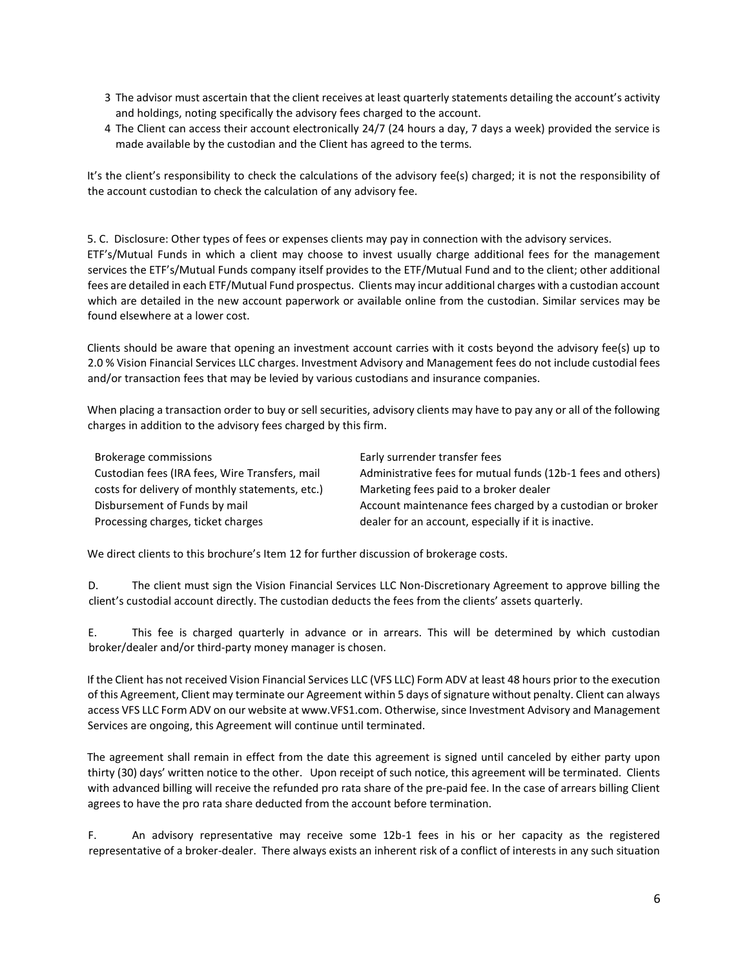- 3 The advisor must ascertain that the client receives at least quarterly statements detailing the account's activity and holdings, noting specifically the advisory fees charged to the account.
- 4 The Client can access their account electronically 24/7 (24 hours a day, 7 days a week) provided the service is made available by the custodian and the Client has agreed to the terms.

It's the client's responsibility to check the calculations of the advisory fee(s) charged; it is not the responsibility of the account custodian to check the calculation of any advisory fee.

5. C. Disclosure: Other types of fees or expenses clients may pay in connection with the advisory services. ETF's/Mutual Funds in which a client may choose to invest usually charge additional fees for the management services the ETF's/Mutual Funds company itself provides to the ETF/Mutual Fund and to the client; other additional fees are detailed in each ETF/Mutual Fund prospectus. Clients may incur additional charges with a custodian account which are detailed in the new account paperwork or available online from the custodian. Similar services may be found elsewhere at a lower cost.

Clients should be aware that opening an investment account carries with it costs beyond the advisory fee(s) up to 2.0 % Vision Financial Services LLC charges. Investment Advisory and Management fees do not include custodial fees and/or transaction fees that may be levied by various custodians and insurance companies.

When placing a transaction order to buy or sell securities, advisory clients may have to pay any or all of the following charges in addition to the advisory fees charged by this firm.

| Brokerage commissions                           | Early surrender transfer fees                                |
|-------------------------------------------------|--------------------------------------------------------------|
| Custodian fees (IRA fees, Wire Transfers, mail  | Administrative fees for mutual funds (12b-1 fees and others) |
| costs for delivery of monthly statements, etc.) | Marketing fees paid to a broker dealer                       |
| Disbursement of Funds by mail                   | Account maintenance fees charged by a custodian or broker    |
| Processing charges, ticket charges              | dealer for an account, especially if it is inactive.         |

We direct clients to this brochure's Item 12 for further discussion of brokerage costs.

D. The client must sign the Vision Financial Services LLC Non-Discretionary Agreement to approve billing the client's custodial account directly. The custodian deducts the fees from the clients' assets quarterly.

E. This fee is charged quarterly in advance or in arrears. This will be determined by which custodian broker/dealer and/or third-party money manager is chosen.

If the Client has not received Vision Financial Services LLC (VFS LLC) Form ADV at least 48 hours prior to the execution of this Agreement, Client may terminate our Agreement within 5 days of signature without penalty. Client can always access VFS LLC Form ADV on our website at www.VFS1.com. Otherwise, since Investment Advisory and Management Services are ongoing, this Agreement will continue until terminated.

The agreement shall remain in effect from the date this agreement is signed until canceled by either party upon thirty (30) days' written notice to the other. Upon receipt of such notice, this agreement will be terminated. Clients with advanced billing will receive the refunded pro rata share of the pre-paid fee. In the case of arrears billing Client agrees to have the pro rata share deducted from the account before termination.

F. An advisory representative may receive some 12b-1 fees in his or her capacity as the registered representative of a broker-dealer. There always exists an inherent risk of a conflict of interests in any such situation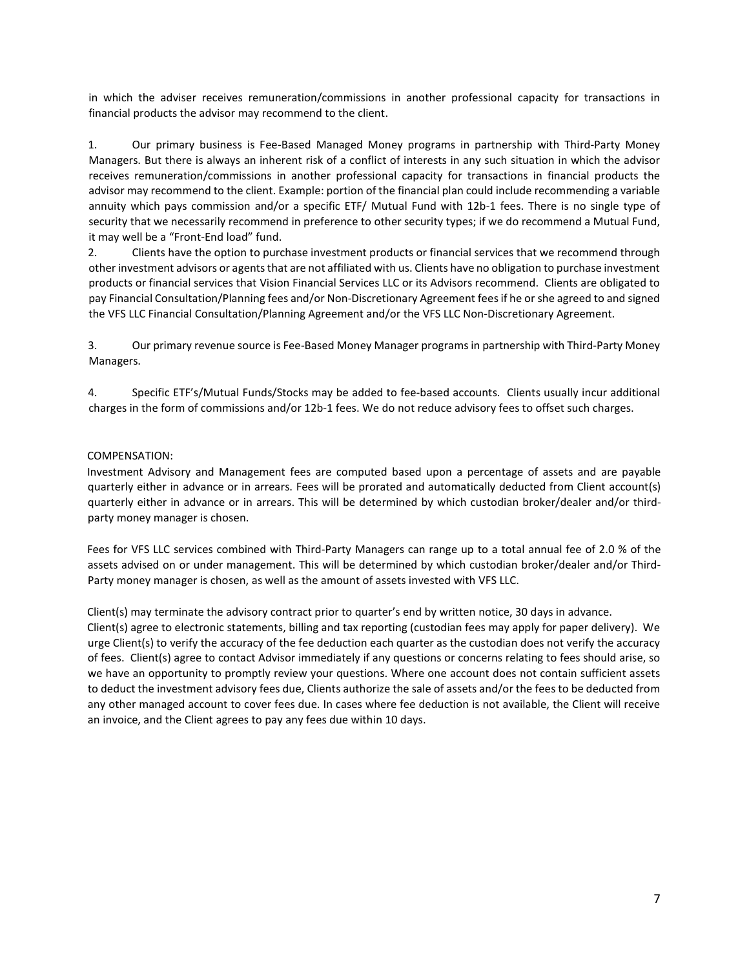in which the adviser receives remuneration/commissions in another professional capacity for transactions in financial products the advisor may recommend to the client.

1. Our primary business is Fee-Based Managed Money programs in partnership with Third-Party Money Managers. But there is always an inherent risk of a conflict of interests in any such situation in which the advisor receives remuneration/commissions in another professional capacity for transactions in financial products the advisor may recommend to the client. Example: portion of the financial plan could include recommending a variable annuity which pays commission and/or a specific ETF/ Mutual Fund with 12b-1 fees. There is no single type of security that we necessarily recommend in preference to other security types; if we do recommend a Mutual Fund, it may well be a "Front-End load" fund.

2. Clients have the option to purchase investment products or financial services that we recommend through other investment advisors or agents that are not affiliated with us. Clients have no obligation to purchase investment products or financial services that Vision Financial Services LLC or its Advisors recommend. Clients are obligated to pay Financial Consultation/Planning fees and/or Non-Discretionary Agreement fees if he or she agreed to and signed the VFS LLC Financial Consultation/Planning Agreement and/or the VFS LLC Non-Discretionary Agreement.

3. Our primary revenue source is Fee-Based Money Manager programs in partnership with Third-Party Money Managers.

4. Specific ETF's/Mutual Funds/Stocks may be added to fee-based accounts. Clients usually incur additional charges in the form of commissions and/or 12b-1 fees. We do not reduce advisory fees to offset such charges.

## COMPENSATION:

Investment Advisory and Management fees are computed based upon a percentage of assets and are payable quarterly either in advance or in arrears. Fees will be prorated and automatically deducted from Client account(s) quarterly either in advance or in arrears. This will be determined by which custodian broker/dealer and/or thirdparty money manager is chosen.

Fees for VFS LLC services combined with Third-Party Managers can range up to a total annual fee of 2.0 % of the assets advised on or under management. This will be determined by which custodian broker/dealer and/or Third-Party money manager is chosen, as well as the amount of assets invested with VFS LLC.

Client(s) may terminate the advisory contract prior to quarter's end by written notice, 30 days in advance.

Client(s) agree to electronic statements, billing and tax reporting (custodian fees may apply for paper delivery). We urge Client(s) to verify the accuracy of the fee deduction each quarter as the custodian does not verify the accuracy of fees. Client(s) agree to contact Advisor immediately if any questions or concerns relating to fees should arise, so we have an opportunity to promptly review your questions. Where one account does not contain sufficient assets to deduct the investment advisory fees due, Clients authorize the sale of assets and/or the fees to be deducted from any other managed account to cover fees due. In cases where fee deduction is not available, the Client will receive an invoice, and the Client agrees to pay any fees due within 10 days.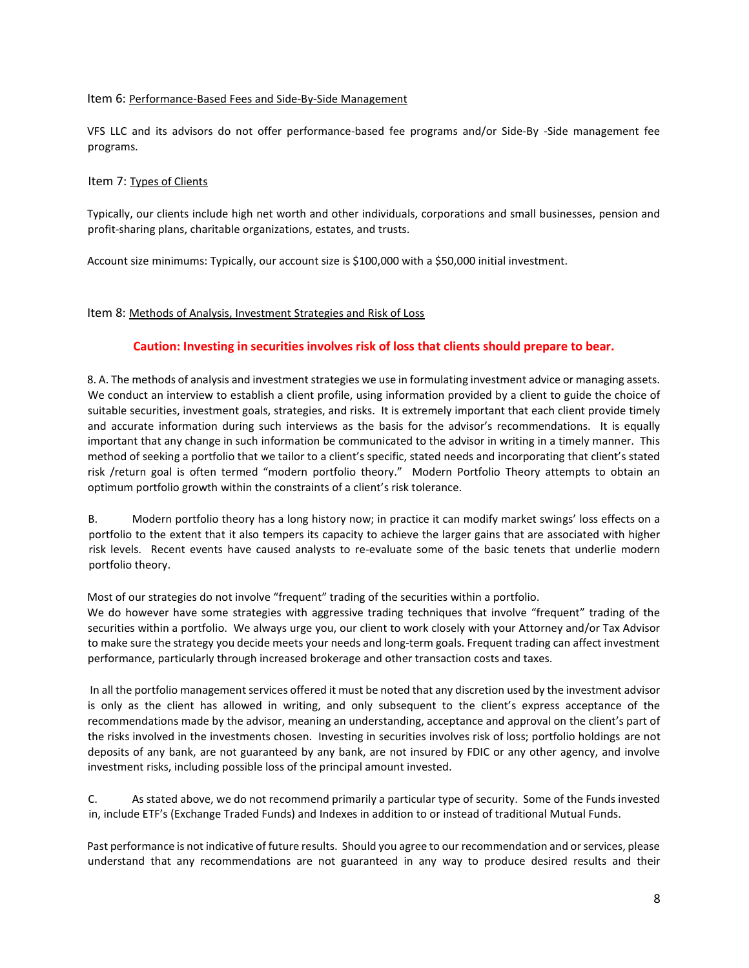# Item 6: Performance-Based Fees and Side-By-Side Management

VFS LLC and its advisors do not offer performance-based fee programs and/or Side-By -Side management fee programs.

# Item 7: Types of Clients

Typically, our clients include high net worth and other individuals, corporations and small businesses, pension and profit-sharing plans, charitable organizations, estates, and trusts.

Account size minimums: Typically, our account size is \$100,000 with a \$50,000 initial investment.

# Item 8: Methods of Analysis, Investment Strategies and Risk of Loss

# Caution: Investing in securities involves risk of loss that clients should prepare to bear.

8. A. The methods of analysis and investment strategies we use in formulating investment advice or managing assets. We conduct an interview to establish a client profile, using information provided by a client to guide the choice of suitable securities, investment goals, strategies, and risks. It is extremely important that each client provide timely and accurate information during such interviews as the basis for the advisor's recommendations. It is equally important that any change in such information be communicated to the advisor in writing in a timely manner. This method of seeking a portfolio that we tailor to a client's specific, stated needs and incorporating that client's stated risk /return goal is often termed "modern portfolio theory." Modern Portfolio Theory attempts to obtain an optimum portfolio growth within the constraints of a client's risk tolerance.

B. Modern portfolio theory has a long history now; in practice it can modify market swings' loss effects on a portfolio to the extent that it also tempers its capacity to achieve the larger gains that are associated with higher risk levels. Recent events have caused analysts to re-evaluate some of the basic tenets that underlie modern portfolio theory.

Most of our strategies do not involve "frequent" trading of the securities within a portfolio.

We do however have some strategies with aggressive trading techniques that involve "frequent" trading of the securities within a portfolio. We always urge you, our client to work closely with your Attorney and/or Tax Advisor to make sure the strategy you decide meets your needs and long-term goals. Frequent trading can affect investment performance, particularly through increased brokerage and other transaction costs and taxes.

 In all the portfolio management services offered it must be noted that any discretion used by the investment advisor is only as the client has allowed in writing, and only subsequent to the client's express acceptance of the recommendations made by the advisor, meaning an understanding, acceptance and approval on the client's part of the risks involved in the investments chosen. Investing in securities involves risk of loss; portfolio holdings are not deposits of any bank, are not guaranteed by any bank, are not insured by FDIC or any other agency, and involve investment risks, including possible loss of the principal amount invested.

C. As stated above, we do not recommend primarily a particular type of security. Some of the Funds invested in, include ETF's (Exchange Traded Funds) and Indexes in addition to or instead of traditional Mutual Funds.

Past performance is not indicative of future results. Should you agree to our recommendation and or services, please understand that any recommendations are not guaranteed in any way to produce desired results and their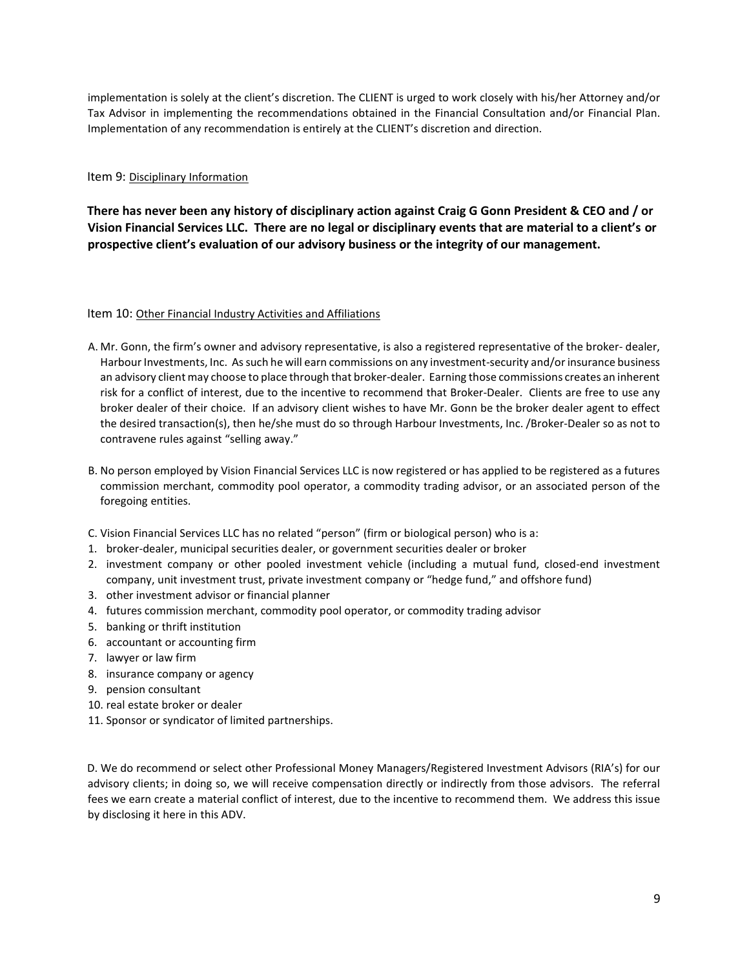implementation is solely at the client's discretion. The CLIENT is urged to work closely with his/her Attorney and/or Tax Advisor in implementing the recommendations obtained in the Financial Consultation and/or Financial Plan. Implementation of any recommendation is entirely at the CLIENT's discretion and direction.

## Item 9: Disciplinary Information

There has never been any history of disciplinary action against Craig G Gonn President & CEO and / or Vision Financial Services LLC. There are no legal or disciplinary events that are material to a client's or prospective client's evaluation of our advisory business or the integrity of our management.

#### Item 10: Other Financial Industry Activities and Affiliations

- A. Mr. Gonn, the firm's owner and advisory representative, is also a registered representative of the broker- dealer, Harbour Investments, Inc. As such he will earn commissions on any investment-security and/or insurance business an advisory client may choose to place through that broker-dealer. Earning those commissions creates an inherent risk for a conflict of interest, due to the incentive to recommend that Broker-Dealer. Clients are free to use any broker dealer of their choice. If an advisory client wishes to have Mr. Gonn be the broker dealer agent to effect the desired transaction(s), then he/she must do so through Harbour Investments, Inc. /Broker-Dealer so as not to contravene rules against "selling away."
- B. No person employed by Vision Financial Services LLC is now registered or has applied to be registered as a futures commission merchant, commodity pool operator, a commodity trading advisor, or an associated person of the foregoing entities.
- C. Vision Financial Services LLC has no related "person" (firm or biological person) who is a:
- 1. broker-dealer, municipal securities dealer, or government securities dealer or broker
- 2. investment company or other pooled investment vehicle (including a mutual fund, closed-end investment company, unit investment trust, private investment company or "hedge fund," and offshore fund)
- 3. other investment advisor or financial planner
- 4. futures commission merchant, commodity pool operator, or commodity trading advisor
- 5. banking or thrift institution
- 6. accountant or accounting firm
- 7. lawyer or law firm
- 8. insurance company or agency
- 9. pension consultant
- 10. real estate broker or dealer
- 11. Sponsor or syndicator of limited partnerships.

D. We do recommend or select other Professional Money Managers/Registered Investment Advisors (RIA's) for our advisory clients; in doing so, we will receive compensation directly or indirectly from those advisors. The referral fees we earn create a material conflict of interest, due to the incentive to recommend them. We address this issue by disclosing it here in this ADV.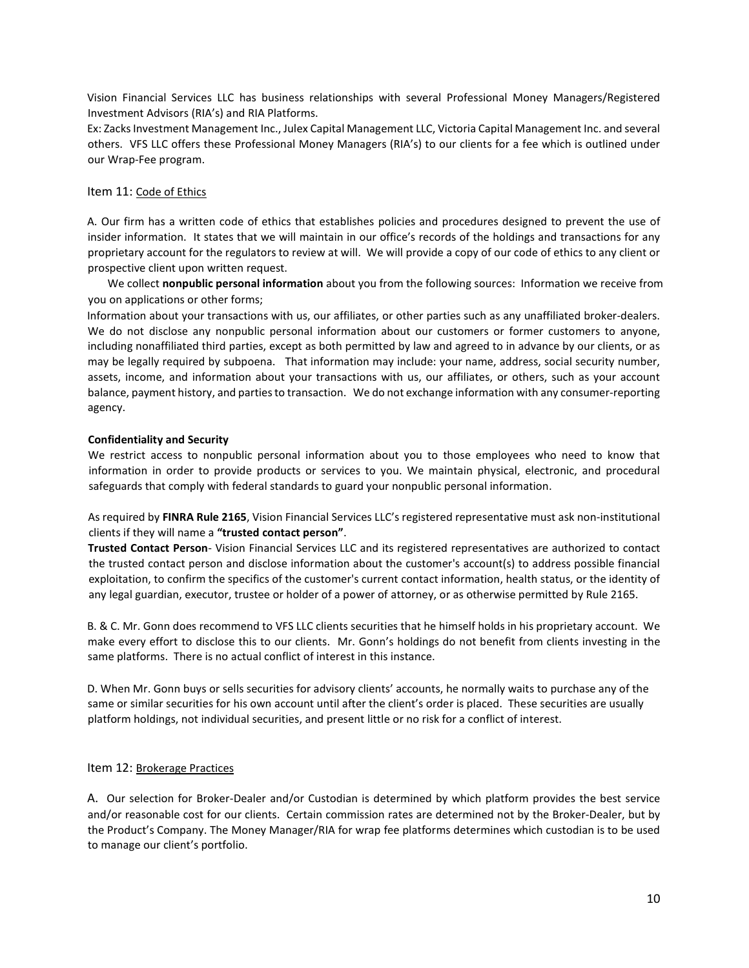Vision Financial Services LLC has business relationships with several Professional Money Managers/Registered Investment Advisors (RIA's) and RIA Platforms.

Ex: Zacks Investment Management Inc., Julex Capital Management LLC, Victoria Capital Management Inc. and several others. VFS LLC offers these Professional Money Managers (RIA's) to our clients for a fee which is outlined under our Wrap-Fee program.

#### Item 11: Code of Ethics

A. Our firm has a written code of ethics that establishes policies and procedures designed to prevent the use of insider information. It states that we will maintain in our office's records of the holdings and transactions for any proprietary account for the regulators to review at will. We will provide a copy of our code of ethics to any client or prospective client upon written request.

We collect nonpublic personal information about you from the following sources: Information we receive from you on applications or other forms;

Information about your transactions with us, our affiliates, or other parties such as any unaffiliated broker-dealers. We do not disclose any nonpublic personal information about our customers or former customers to anyone, including nonaffiliated third parties, except as both permitted by law and agreed to in advance by our clients, or as may be legally required by subpoena. That information may include: your name, address, social security number, assets, income, and information about your transactions with us, our affiliates, or others, such as your account balance, payment history, and parties to transaction. We do not exchange information with any consumer-reporting agency.

#### Confidentiality and Security

We restrict access to nonpublic personal information about you to those employees who need to know that information in order to provide products or services to you. We maintain physical, electronic, and procedural safeguards that comply with federal standards to guard your nonpublic personal information.

As required by FINRA Rule 2165, Vision Financial Services LLC's registered representative must ask non-institutional clients if they will name a "trusted contact person".

Trusted Contact Person- Vision Financial Services LLC and its registered representatives are authorized to contact the trusted contact person and disclose information about the customer's account(s) to address possible financial exploitation, to confirm the specifics of the customer's current contact information, health status, or the identity of any legal guardian, executor, trustee or holder of a power of attorney, or as otherwise permitted by Rule 2165.

B. & C. Mr. Gonn does recommend to VFS LLC clients securities that he himself holds in his proprietary account. We make every effort to disclose this to our clients. Mr. Gonn's holdings do not benefit from clients investing in the same platforms. There is no actual conflict of interest in this instance.

D. When Mr. Gonn buys or sells securities for advisory clients' accounts, he normally waits to purchase any of the same or similar securities for his own account until after the client's order is placed. These securities are usually platform holdings, not individual securities, and present little or no risk for a conflict of interest.

#### Item 12: Brokerage Practices

A. Our selection for Broker-Dealer and/or Custodian is determined by which platform provides the best service and/or reasonable cost for our clients. Certain commission rates are determined not by the Broker-Dealer, but by the Product's Company. The Money Manager/RIA for wrap fee platforms determines which custodian is to be used to manage our client's portfolio.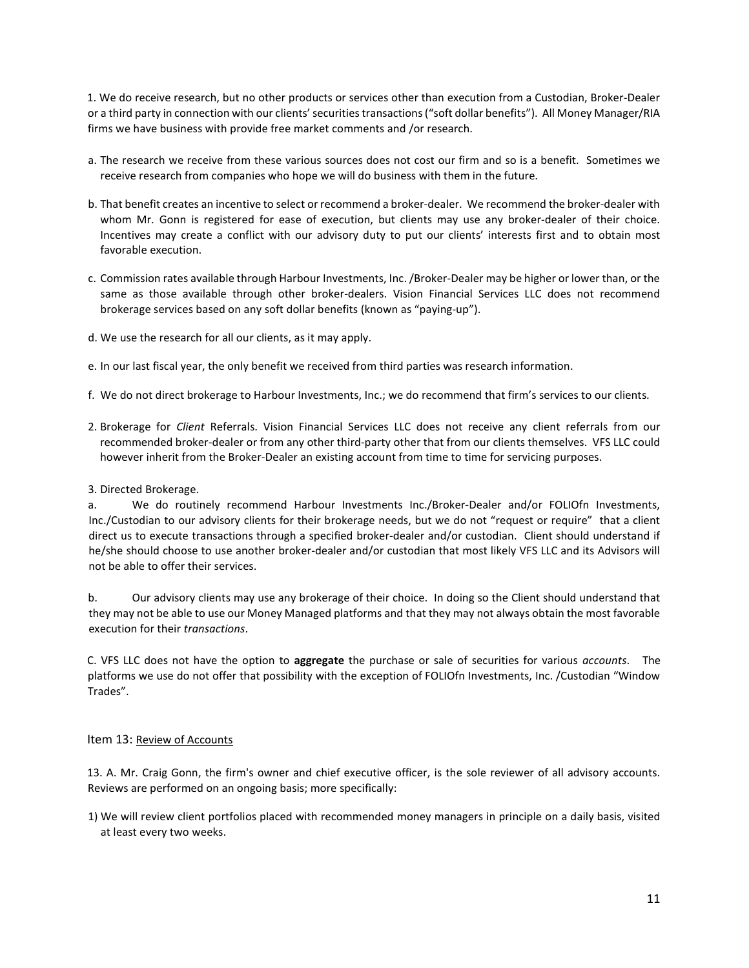1. We do receive research, but no other products or services other than execution from a Custodian, Broker-Dealer or a third party in connection with our clients' securities transactions ("soft dollar benefits"). All Money Manager/RIA firms we have business with provide free market comments and /or research.

- a. The research we receive from these various sources does not cost our firm and so is a benefit. Sometimes we receive research from companies who hope we will do business with them in the future.
- b. That benefit creates an incentive to select or recommend a broker-dealer. We recommend the broker-dealer with whom Mr. Gonn is registered for ease of execution, but clients may use any broker-dealer of their choice. Incentives may create a conflict with our advisory duty to put our clients' interests first and to obtain most favorable execution.
- c. Commission rates available through Harbour Investments, Inc. /Broker-Dealer may be higher or lower than, or the same as those available through other broker-dealers. Vision Financial Services LLC does not recommend brokerage services based on any soft dollar benefits (known as "paying-up").
- d. We use the research for all our clients, as it may apply.
- e. In our last fiscal year, the only benefit we received from third parties was research information.
- f. We do not direct brokerage to Harbour Investments, Inc.; we do recommend that firm's services to our clients.
- 2. Brokerage for Client Referrals. Vision Financial Services LLC does not receive any client referrals from our recommended broker-dealer or from any other third-party other that from our clients themselves. VFS LLC could however inherit from the Broker-Dealer an existing account from time to time for servicing purposes.

#### 3. Directed Brokerage.

a. We do routinely recommend Harbour Investments Inc./Broker-Dealer and/or FOLIOfn Investments, Inc./Custodian to our advisory clients for their brokerage needs, but we do not "request or require" that a client direct us to execute transactions through a specified broker-dealer and/or custodian. Client should understand if he/she should choose to use another broker-dealer and/or custodian that most likely VFS LLC and its Advisors will not be able to offer their services.

b. Our advisory clients may use any brokerage of their choice. In doing so the Client should understand that they may not be able to use our Money Managed platforms and that they may not always obtain the most favorable execution for their transactions.

C. VFS LLC does not have the option to aggregate the purchase or sale of securities for various *accounts*. The platforms we use do not offer that possibility with the exception of FOLIOfn Investments, Inc. /Custodian "Window Trades".

#### Item 13: Review of Accounts

13. A. Mr. Craig Gonn, the firm's owner and chief executive officer, is the sole reviewer of all advisory accounts. Reviews are performed on an ongoing basis; more specifically:

1) We will review client portfolios placed with recommended money managers in principle on a daily basis, visited at least every two weeks.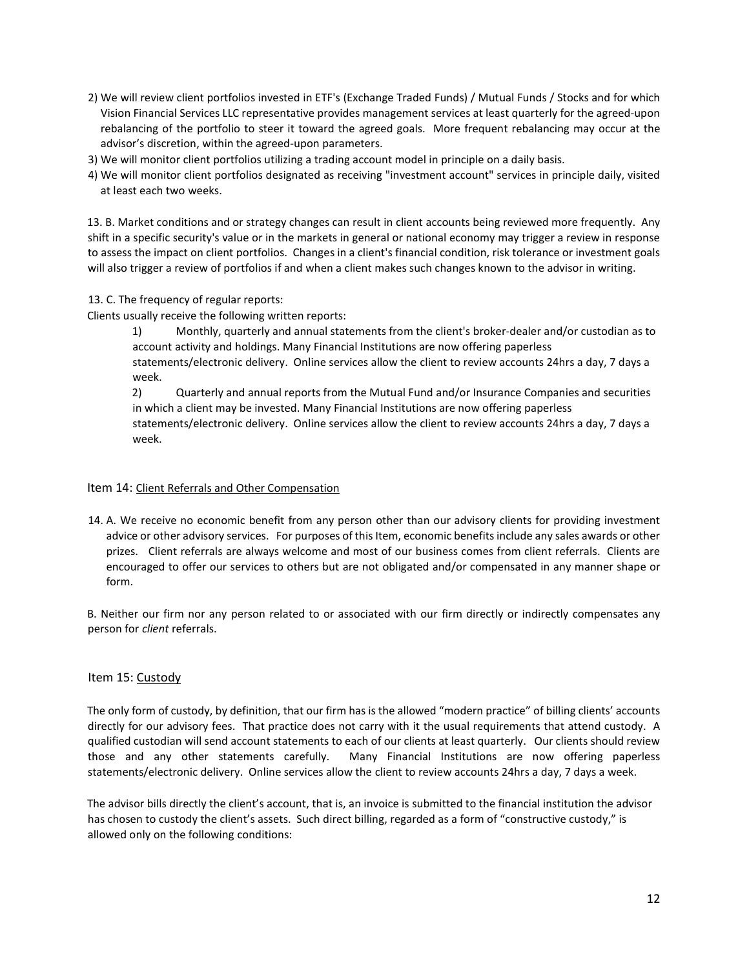- 2) We will review client portfolios invested in ETF's (Exchange Traded Funds) / Mutual Funds / Stocks and for which Vision Financial Services LLC representative provides management services at least quarterly for the agreed-upon rebalancing of the portfolio to steer it toward the agreed goals. More frequent rebalancing may occur at the advisor's discretion, within the agreed-upon parameters.
- 3) We will monitor client portfolios utilizing a trading account model in principle on a daily basis.
- 4) We will monitor client portfolios designated as receiving "investment account" services in principle daily, visited at least each two weeks.

13. B. Market conditions and or strategy changes can result in client accounts being reviewed more frequently. Any shift in a specific security's value or in the markets in general or national economy may trigger a review in response to assess the impact on client portfolios. Changes in a client's financial condition, risk tolerance or investment goals will also trigger a review of portfolios if and when a client makes such changes known to the advisor in writing.

13. C. The frequency of regular reports:

Clients usually receive the following written reports:

1) Monthly, quarterly and annual statements from the client's broker-dealer and/or custodian as to account activity and holdings. Many Financial Institutions are now offering paperless statements/electronic delivery. Online services allow the client to review accounts 24hrs a day, 7 days a week.

2) Quarterly and annual reports from the Mutual Fund and/or Insurance Companies and securities in which a client may be invested. Many Financial Institutions are now offering paperless statements/electronic delivery. Online services allow the client to review accounts 24hrs a day, 7 days a week.

#### Item 14: Client Referrals and Other Compensation

14. A. We receive no economic benefit from any person other than our advisory clients for providing investment advice or other advisory services. For purposes of this Item, economic benefits include any sales awards or other prizes. Client referrals are always welcome and most of our business comes from client referrals. Clients are encouraged to offer our services to others but are not obligated and/or compensated in any manner shape or form.

B. Neither our firm nor any person related to or associated with our firm directly or indirectly compensates any person for client referrals.

# Item 15: Custody

The only form of custody, by definition, that our firm has is the allowed "modern practice" of billing clients' accounts directly for our advisory fees. That practice does not carry with it the usual requirements that attend custody. A qualified custodian will send account statements to each of our clients at least quarterly. Our clients should review those and any other statements carefully. Many Financial Institutions are now offering paperless statements/electronic delivery. Online services allow the client to review accounts 24hrs a day, 7 days a week.

The advisor bills directly the client's account, that is, an invoice is submitted to the financial institution the advisor has chosen to custody the client's assets. Such direct billing, regarded as a form of "constructive custody," is allowed only on the following conditions: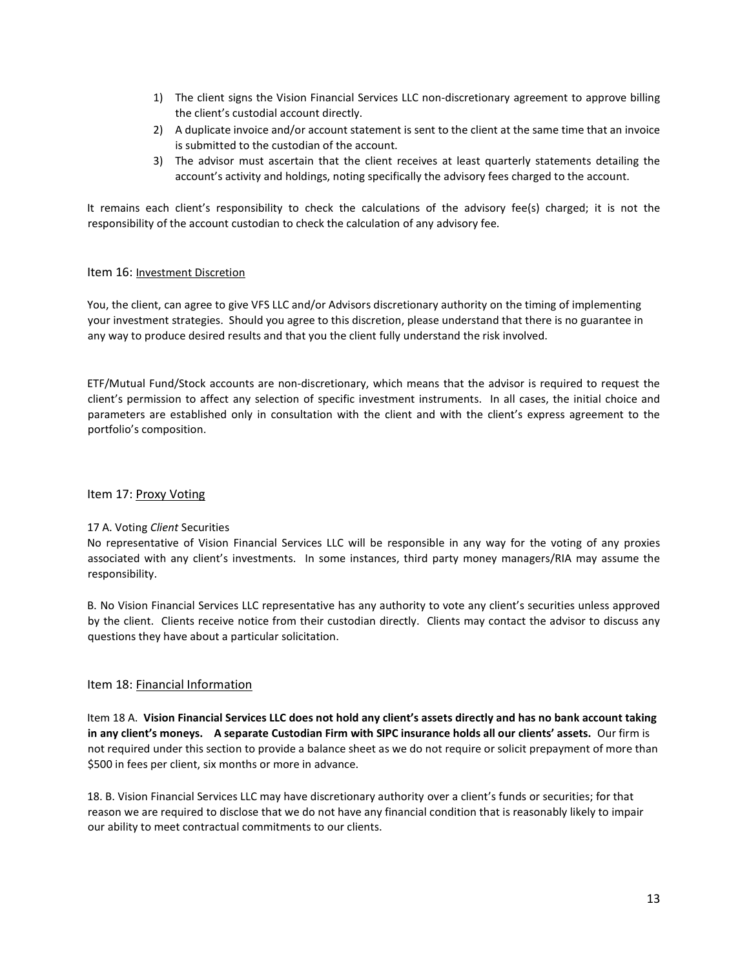- 1) The client signs the Vision Financial Services LLC non-discretionary agreement to approve billing the client's custodial account directly.
- 2) A duplicate invoice and/or account statement is sent to the client at the same time that an invoice is submitted to the custodian of the account.
- 3) The advisor must ascertain that the client receives at least quarterly statements detailing the account's activity and holdings, noting specifically the advisory fees charged to the account.

It remains each client's responsibility to check the calculations of the advisory fee(s) charged; it is not the responsibility of the account custodian to check the calculation of any advisory fee.

## Item 16: Investment Discretion

You, the client, can agree to give VFS LLC and/or Advisors discretionary authority on the timing of implementing your investment strategies. Should you agree to this discretion, please understand that there is no guarantee in any way to produce desired results and that you the client fully understand the risk involved.

ETF/Mutual Fund/Stock accounts are non-discretionary, which means that the advisor is required to request the client's permission to affect any selection of specific investment instruments. In all cases, the initial choice and parameters are established only in consultation with the client and with the client's express agreement to the portfolio's composition.

# Item 17: Proxy Voting

# 17 A. Voting Client Securities

No representative of Vision Financial Services LLC will be responsible in any way for the voting of any proxies associated with any client's investments. In some instances, third party money managers/RIA may assume the responsibility.

B. No Vision Financial Services LLC representative has any authority to vote any client's securities unless approved by the client. Clients receive notice from their custodian directly. Clients may contact the advisor to discuss any questions they have about a particular solicitation.

# Item 18: Financial Information

Item 18 A. Vision Financial Services LLC does not hold any client's assets directly and has no bank account taking in any client's moneys. A separate Custodian Firm with SIPC insurance holds all our clients' assets. Our firm is not required under this section to provide a balance sheet as we do not require or solicit prepayment of more than \$500 in fees per client, six months or more in advance.

18. B. Vision Financial Services LLC may have discretionary authority over a client's funds or securities; for that reason we are required to disclose that we do not have any financial condition that is reasonably likely to impair our ability to meet contractual commitments to our clients.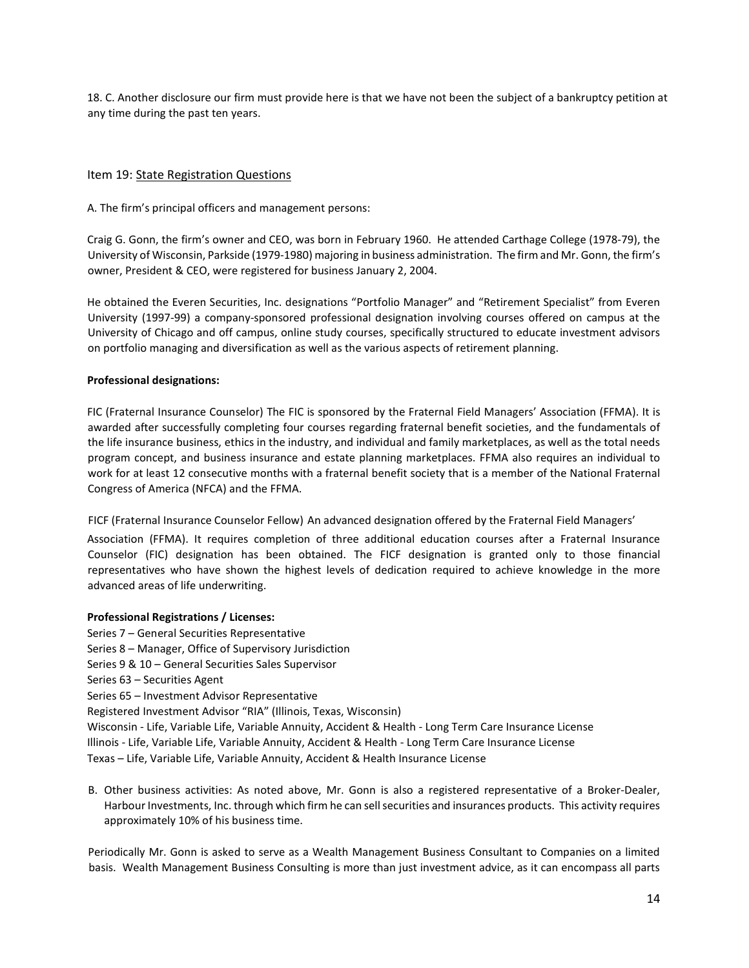18. C. Another disclosure our firm must provide here is that we have not been the subject of a bankruptcy petition at any time during the past ten years.

# Item 19: State Registration Questions

A. The firm's principal officers and management persons:

Craig G. Gonn, the firm's owner and CEO, was born in February 1960. He attended Carthage College (1978-79), the University of Wisconsin, Parkside (1979-1980) majoring in business administration. The firm and Mr. Gonn, the firm's owner, President & CEO, were registered for business January 2, 2004.

He obtained the Everen Securities, Inc. designations "Portfolio Manager" and "Retirement Specialist" from Everen University (1997-99) a company-sponsored professional designation involving courses offered on campus at the University of Chicago and off campus, online study courses, specifically structured to educate investment advisors on portfolio managing and diversification as well as the various aspects of retirement planning.

#### Professional designations:

FIC (Fraternal Insurance Counselor) The FIC is sponsored by the Fraternal Field Managers' Association (FFMA). It is awarded after successfully completing four courses regarding fraternal benefit societies, and the fundamentals of the life insurance business, ethics in the industry, and individual and family marketplaces, as well as the total needs program concept, and business insurance and estate planning marketplaces. FFMA also requires an individual to work for at least 12 consecutive months with a fraternal benefit society that is a member of the National Fraternal Congress of America (NFCA) and the FFMA.

FICF (Fraternal Insurance Counselor Fellow) An advanced designation offered by the Fraternal Field Managers'

Association (FFMA). It requires completion of three additional education courses after a Fraternal Insurance Counselor (FIC) designation has been obtained. The FICF designation is granted only to those financial representatives who have shown the highest levels of dedication required to achieve knowledge in the more advanced areas of life underwriting.

#### Professional Registrations / Licenses:

Series 7 – General Securities Representative Series 8 – Manager, Office of Supervisory Jurisdiction Series 9 & 10 – General Securities Sales Supervisor Series 63 – Securities Agent Series 65 – Investment Advisor Representative Registered Investment Advisor "RIA" (Illinois, Texas, Wisconsin) Wisconsin - Life, Variable Life, Variable Annuity, Accident & Health - Long Term Care Insurance License Illinois - Life, Variable Life, Variable Annuity, Accident & Health - Long Term Care Insurance License Texas – Life, Variable Life, Variable Annuity, Accident & Health Insurance License

B. Other business activities: As noted above, Mr. Gonn is also a registered representative of a Broker-Dealer, Harbour Investments, Inc. through which firm he can sell securities and insurances products. This activity requires approximately 10% of his business time.

Periodically Mr. Gonn is asked to serve as a Wealth Management Business Consultant to Companies on a limited basis. Wealth Management Business Consulting is more than just investment advice, as it can encompass all parts